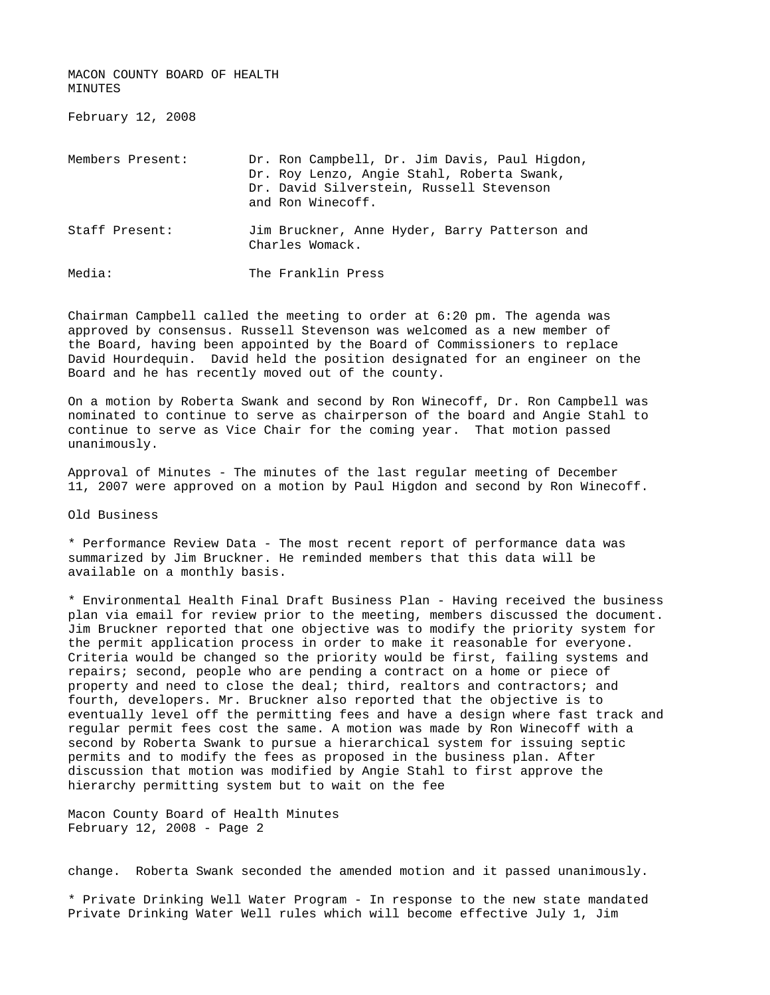MACON COUNTY BOARD OF HEALTH MINUTES

February 12, 2008

| Members Present: | Dr. Ron Campbell, Dr. Jim Davis, Paul Higdon,<br>Dr. Roy Lenzo, Angie Stahl, Roberta Swank,<br>Dr. David Silverstein, Russell Stevenson<br>and Ron Winecoff. |
|------------------|--------------------------------------------------------------------------------------------------------------------------------------------------------------|
| Staff Present:   | Jim Bruckner, Anne Hyder, Barry Patterson and<br>Charles Womack.                                                                                             |
| Media:           | The Franklin Press                                                                                                                                           |

Chairman Campbell called the meeting to order at 6:20 pm. The agenda was approved by consensus. Russell Stevenson was welcomed as a new member of the Board, having been appointed by the Board of Commissioners to replace David Hourdequin. David held the position designated for an engineer on the Board and he has recently moved out of the county.

On a motion by Roberta Swank and second by Ron Winecoff, Dr. Ron Campbell was nominated to continue to serve as chairperson of the board and Angie Stahl to continue to serve as Vice Chair for the coming year. That motion passed unanimously.

Approval of Minutes - The minutes of the last regular meeting of December 11, 2007 were approved on a motion by Paul Higdon and second by Ron Winecoff.

Old Business

\* Performance Review Data - The most recent report of performance data was summarized by Jim Bruckner. He reminded members that this data will be available on a monthly basis.

\* Environmental Health Final Draft Business Plan - Having received the business plan via email for review prior to the meeting, members discussed the document. Jim Bruckner reported that one objective was to modify the priority system for the permit application process in order to make it reasonable for everyone. Criteria would be changed so the priority would be first, failing systems and repairs; second, people who are pending a contract on a home or piece of property and need to close the deal; third, realtors and contractors; and fourth, developers. Mr. Bruckner also reported that the objective is to eventually level off the permitting fees and have a design where fast track and regular permit fees cost the same. A motion was made by Ron Winecoff with a second by Roberta Swank to pursue a hierarchical system for issuing septic permits and to modify the fees as proposed in the business plan. After discussion that motion was modified by Angie Stahl to first approve the hierarchy permitting system but to wait on the fee

Macon County Board of Health Minutes February 12, 2008 - Page 2

change. Roberta Swank seconded the amended motion and it passed unanimously.

\* Private Drinking Well Water Program - In response to the new state mandated Private Drinking Water Well rules which will become effective July 1, Jim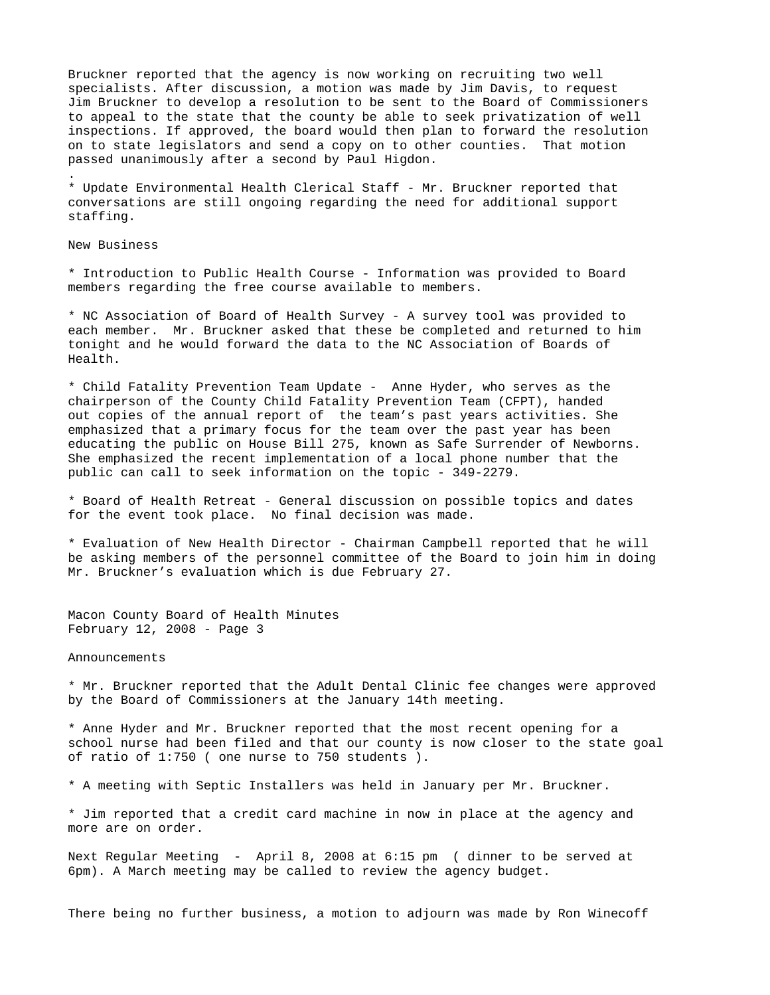Bruckner reported that the agency is now working on recruiting two well specialists. After discussion, a motion was made by Jim Davis, to request Jim Bruckner to develop a resolution to be sent to the Board of Commissioners to appeal to the state that the county be able to seek privatization of well inspections. If approved, the board would then plan to forward the resolution on to state legislators and send a copy on to other counties. That motion passed unanimously after a second by Paul Higdon.

\* Update Environmental Health Clerical Staff - Mr. Bruckner reported that conversations are still ongoing regarding the need for additional support staffing.

New Business

.

\* Introduction to Public Health Course - Information was provided to Board members regarding the free course available to members.

\* NC Association of Board of Health Survey - A survey tool was provided to each member. Mr. Bruckner asked that these be completed and returned to him tonight and he would forward the data to the NC Association of Boards of Health.

\* Child Fatality Prevention Team Update - Anne Hyder, who serves as the chairperson of the County Child Fatality Prevention Team (CFPT), handed out copies of the annual report of the team's past years activities. She emphasized that a primary focus for the team over the past year has been educating the public on House Bill 275, known as Safe Surrender of Newborns. She emphasized the recent implementation of a local phone number that the public can call to seek information on the topic - 349-2279.

\* Board of Health Retreat - General discussion on possible topics and dates for the event took place. No final decision was made.

\* Evaluation of New Health Director - Chairman Campbell reported that he will be asking members of the personnel committee of the Board to join him in doing Mr. Bruckner's evaluation which is due February 27.

Macon County Board of Health Minutes February 12, 2008 - Page 3

Announcements

\* Mr. Bruckner reported that the Adult Dental Clinic fee changes were approved by the Board of Commissioners at the January 14th meeting.

\* Anne Hyder and Mr. Bruckner reported that the most recent opening for a school nurse had been filed and that our county is now closer to the state goal of ratio of 1:750 ( one nurse to 750 students ).

\* A meeting with Septic Installers was held in January per Mr. Bruckner.

\* Jim reported that a credit card machine in now in place at the agency and more are on order.

Next Regular Meeting - April 8, 2008 at 6:15 pm ( dinner to be served at 6pm). A March meeting may be called to review the agency budget.

There being no further business, a motion to adjourn was made by Ron Winecoff